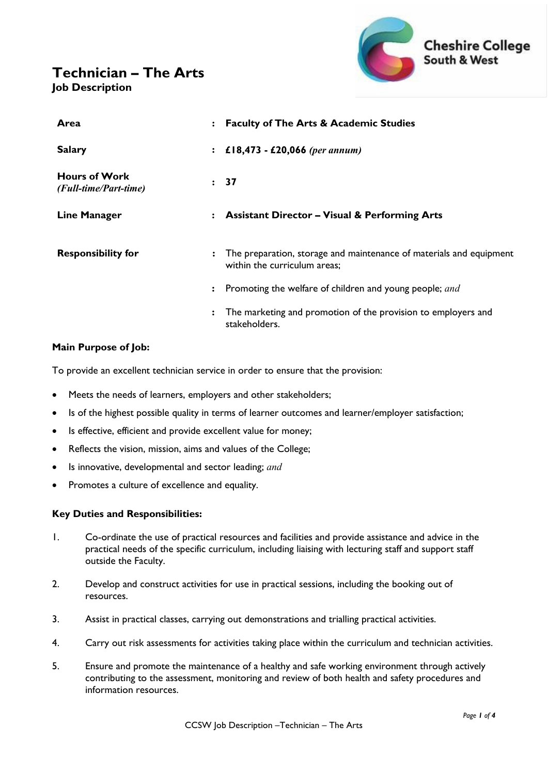# **Technician – The Arts Job Description**



| Area                                          | : Faculty of The Arts & Academic Studies                                                                              |
|-----------------------------------------------|-----------------------------------------------------------------------------------------------------------------------|
| <b>Salary</b>                                 | £18,473 - £20,066 (per annum)<br>$\ddot{\cdot}$                                                                       |
| <b>Hours of Work</b><br>(Full-time/Part-time) | : 37                                                                                                                  |
| <b>Line Manager</b>                           | <b>Assistant Director - Visual &amp; Performing Arts</b><br>$\ddot{\cdot}$                                            |
| <b>Responsibility for</b>                     | The preparation, storage and maintenance of materials and equipment<br>$\ddot{\cdot}$<br>within the curriculum areas; |
|                                               | Promoting the welfare of children and young people; and<br>$\ddot{\cdot}$                                             |
|                                               | The marketing and promotion of the provision to employers and<br>$\ddot{\cdot}$<br>stakeholders.                      |

# **Main Purpose of Job:**

To provide an excellent technician service in order to ensure that the provision:

- Meets the needs of learners, employers and other stakeholders;
- Is of the highest possible quality in terms of learner outcomes and learner/employer satisfaction;
- Is effective, efficient and provide excellent value for money;
- Reflects the vision, mission, aims and values of the College;
- Is innovative, developmental and sector leading; *and*
- Promotes a culture of excellence and equality.

## **Key Duties and Responsibilities:**

- 1. Co-ordinate the use of practical resources and facilities and provide assistance and advice in the practical needs of the specific curriculum, including liaising with lecturing staff and support staff outside the Faculty.
- 2. Develop and construct activities for use in practical sessions, including the booking out of resources.
- 3. Assist in practical classes, carrying out demonstrations and trialling practical activities.
- 4. Carry out risk assessments for activities taking place within the curriculum and technician activities.
- 5. Ensure and promote the maintenance of a healthy and safe working environment through actively contributing to the assessment, monitoring and review of both health and safety procedures and information resources.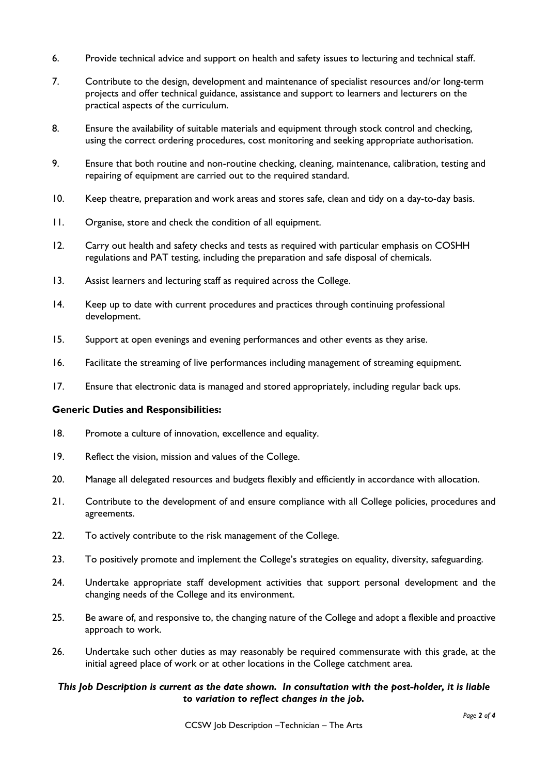- 6. Provide technical advice and support on health and safety issues to lecturing and technical staff.
- 7. Contribute to the design, development and maintenance of specialist resources and/or long-term projects and offer technical guidance, assistance and support to learners and lecturers on the practical aspects of the curriculum.
- 8. Ensure the availability of suitable materials and equipment through stock control and checking, using the correct ordering procedures, cost monitoring and seeking appropriate authorisation.
- 9. Ensure that both routine and non-routine checking, cleaning, maintenance, calibration, testing and repairing of equipment are carried out to the required standard.
- 10. Keep theatre, preparation and work areas and stores safe, clean and tidy on a day-to-day basis.
- 11. Organise, store and check the condition of all equipment.
- 12. Carry out health and safety checks and tests as required with particular emphasis on COSHH regulations and PAT testing, including the preparation and safe disposal of chemicals.
- 13. Assist learners and lecturing staff as required across the College.
- 14. Keep up to date with current procedures and practices through continuing professional development.
- 15. Support at open evenings and evening performances and other events as they arise.
- 16. Facilitate the streaming of live performances including management of streaming equipment.
- 17. Ensure that electronic data is managed and stored appropriately, including regular back ups.

#### **Generic Duties and Responsibilities:**

- 18. Promote a culture of innovation, excellence and equality.
- 19. Reflect the vision, mission and values of the College.
- 20. Manage all delegated resources and budgets flexibly and efficiently in accordance with allocation.
- 21. Contribute to the development of and ensure compliance with all College policies, procedures and agreements.
- 22. To actively contribute to the risk management of the College.
- 23. To positively promote and implement the College's strategies on equality, diversity, safeguarding.
- 24. Undertake appropriate staff development activities that support personal development and the changing needs of the College and its environment.
- 25. Be aware of, and responsive to, the changing nature of the College and adopt a flexible and proactive approach to work.
- 26. Undertake such other duties as may reasonably be required commensurate with this grade, at the initial agreed place of work or at other locations in the College catchment area.

## *This Job Description is current as the date shown. In consultation with the post-holder, it is liable to variation to reflect changes in the job.*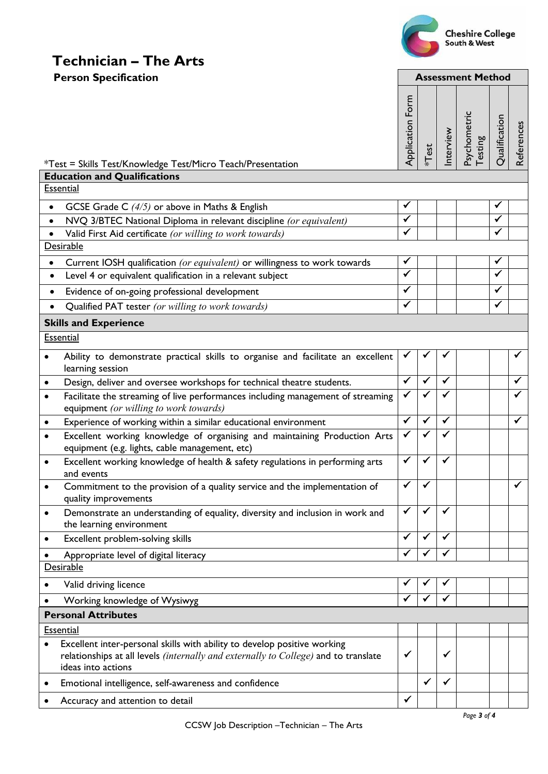

Interview

Psychometric Psychometric<br>Testing

**Qualification** 

Qualification

References

References

# **Technician – The Arts Person Specification Assessment Method** Application Form Application Form \*Test \*Test = Skills Test/Knowledge Test/Micro Teach/Presentation **Education and Qualifications Essential** • GCSE Grade C  $(4/5)$  or above in Maths & English  $\checkmark$ • NVQ 3/BTEC National Diploma in relevant discipline *(or equivalent)*<br>• Valid First Aid certificate *(or willing to work towards)* • Valid First Aid certificate *(or willing to work towards)* **Desirable** • Current IOSH qualification *(or equivalent)* or willingness to work towards  $\checkmark$ • Level 4 or equivalent qualification in a relevant subject • Evidence of on-going professional development  $\vert \checkmark \vert \vert \bar \checkmark$ • Qualified PAT tester *(or willing to work towards)* **Skills and Experience Essential**

|           | Ability to demonstrate practical skills to organise and facilitate an excellent<br>learning session                                                                                          |              |              |   |  |   |
|-----------|----------------------------------------------------------------------------------------------------------------------------------------------------------------------------------------------|--------------|--------------|---|--|---|
| ٠         | Design, deliver and oversee workshops for technical theatre students.                                                                                                                        | $\checkmark$ | ✔            | ✔ |  | ✔ |
| ٠         | Facilitate the streaming of live performances including management of streaming<br>equipment (or willing to work towards)                                                                    |              |              |   |  |   |
| $\bullet$ | Experience of working within a similar educational environment                                                                                                                               |              | ✓            | ✓ |  |   |
|           | Excellent working knowledge of organising and maintaining Production Arts<br>equipment (e.g. lights, cable management, etc)                                                                  |              |              | ✓ |  |   |
| $\bullet$ | Excellent working knowledge of health & safety regulations in performing arts<br>and events                                                                                                  | ✓            | ✔            | ✓ |  |   |
| ٠         | Commitment to the provision of a quality service and the implementation of<br>quality improvements                                                                                           | ✓            | $\checkmark$ |   |  |   |
| $\bullet$ | Demonstrate an understanding of equality, diversity and inclusion in work and<br>the learning environment                                                                                    | $\checkmark$ | $\checkmark$ | ✓ |  |   |
|           | Excellent problem-solving skills                                                                                                                                                             | $\checkmark$ | ✔            | ✔ |  |   |
|           | Appropriate level of digital literacy                                                                                                                                                        | ✓            |              |   |  |   |
|           | Desirable                                                                                                                                                                                    |              |              |   |  |   |
|           | Valid driving licence                                                                                                                                                                        | ✔            |              |   |  |   |
|           | Working knowledge of Wysiwyg                                                                                                                                                                 | ✔            |              |   |  |   |
|           | <b>Personal Attributes</b>                                                                                                                                                                   |              |              |   |  |   |
|           | <b>Essential</b>                                                                                                                                                                             |              |              |   |  |   |
|           | Excellent inter-personal skills with ability to develop positive working<br>relationships at all levels <i>(internally and externally to College)</i> and to translate<br>ideas into actions | ✓            |              | ✓ |  |   |
|           | Emotional intelligence, self-awareness and confidence                                                                                                                                        |              | ✔            | ✓ |  |   |
|           | Accuracy and attention to detail                                                                                                                                                             | ✓            |              |   |  |   |